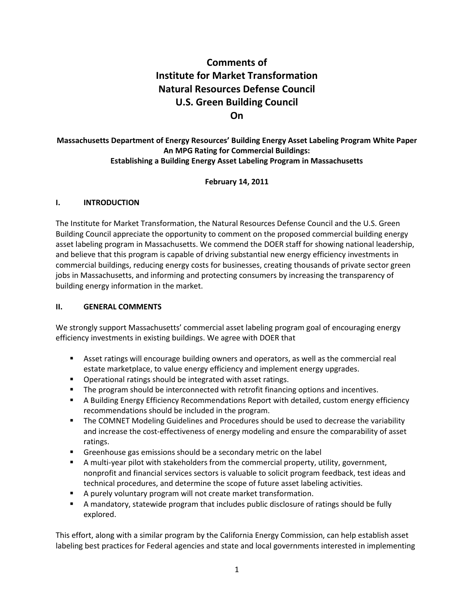# **Comments of Institute for Market Transformation Natural Resources Defense Council U.S. Green Building Council On**

### **Massachusetts Department of Energy Resources' Building Energy Asset Labeling Program White Paper An MPG Rating for Commercial Buildings: Establishing a Building Energy Asset Labeling Program in Massachusetts**

#### **February 14, 2011**

#### **I. INTRODUCTION**

The Institute for Market Transformation, the Natural Resources Defense Council and the U.S. Green Building Council appreciate the opportunity to comment on the proposed commercial building energy asset labeling program in Massachusetts. We commend the DOER staff for showing national leadership, and believe that this program is capable of driving substantial new energy efficiency investments in commercial buildings, reducing energy costs for businesses, creating thousands of private sector green jobs in Massachusetts, and informing and protecting consumers by increasing the transparency of building energy information in the market.

#### **II. GENERAL COMMENTS**

We strongly support Massachusetts' commercial asset labeling program goal of encouraging energy efficiency investments in existing buildings. We agree with DOER that

- Asset ratings will encourage building owners and operators, as well as the commercial real estate marketplace, to value energy efficiency and implement energy upgrades.
- **•** Operational ratings should be integrated with asset ratings.
- **The program should be interconnected with retrofit financing options and incentives.**
- A Building Energy Efficiency Recommendations Report with detailed, custom energy efficiency recommendations should be included in the program.
- **The COMNET Modeling Guidelines and Procedures should be used to decrease the variability** and increase the cost-effectiveness of energy modeling and ensure the comparability of asset ratings.
- **Greenhouse gas emissions should be a secondary metric on the label**
- A multi-year pilot with stakeholders from the commercial property, utility, government, nonprofit and financial services sectors is valuable to solicit program feedback, test ideas and technical procedures, and determine the scope of future asset labeling activities.
- A purely voluntary program will not create market transformation.
- A mandatory, statewide program that includes public disclosure of ratings should be fully explored.

This effort, along with a similar program by the California Energy Commission, can help establish asset labeling best practices for Federal agencies and state and local governments interested in implementing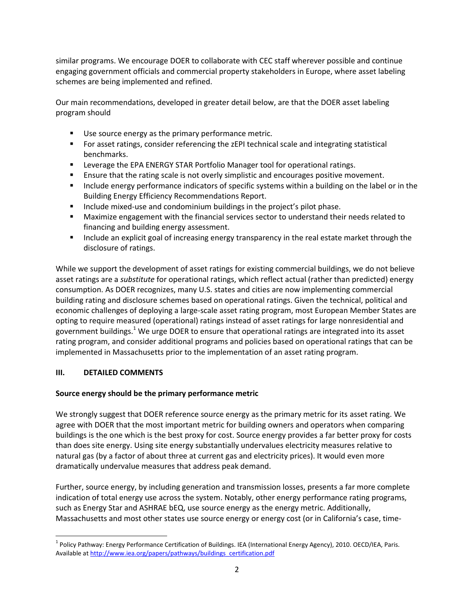similar programs. We encourage DOER to collaborate with CEC staff wherever possible and continue engaging government officials and commercial property stakeholders in Europe, where asset labeling schemes are being implemented and refined.

Our main recommendations, developed in greater detail below, are that the DOER asset labeling program should

- **Use source energy as the primary performance metric.**
- For asset ratings, consider referencing the zEPI technical scale and integrating statistical benchmarks.
- Leverage the EPA ENERGY STAR Portfolio Manager tool for operational ratings.
- Ensure that the rating scale is not overly simplistic and encourages positive movement.
- **Include energy performance indicators of specific systems within a building on the label or in the** Building Energy Efficiency Recommendations Report.
- **Include mixed-use and condominium buildings in the project's pilot phase.**
- Maximize engagement with the financial services sector to understand their needs related to financing and building energy assessment.
- **Include an explicit goal of increasing energy transparency in the real estate market through the** disclosure of ratings.

While we support the development of asset ratings for existing commercial buildings, we do not believe asset ratings are a *substitute* for operational ratings, which reflect actual (rather than predicted) energy consumption. As DOER recognizes, many U.S. states and cities are now implementing commercial building rating and disclosure schemes based on operational ratings. Given the technical, political and economic challenges of deploying a large-scale asset rating program, most European Member States are opting to require measured (operational) ratings instead of asset ratings for large nonresidential and government buildings.<sup>1</sup> We urge DOER to ensure that operational ratings are integrated into its asset rating program, and consider additional programs and policies based on operational ratings that can be implemented in Massachusetts prior to the implementation of an asset rating program.

### **III. DETAILED COMMENTS**

### **Source energy should be the primary performance metric**

We strongly suggest that DOER reference source energy as the primary metric for its asset rating. We agree with DOER that the most important metric for building owners and operators when comparing buildings is the one which is the best proxy for cost. Source energy provides a far better proxy for costs than does site energy. Using site energy substantially undervalues electricity measures relative to natural gas (by a factor of about three at current gas and electricity prices). It would even more dramatically undervalue measures that address peak demand.

Further, source energy, by including generation and transmission losses, presents a far more complete indication of total energy use across the system. Notably, other energy performance rating programs, such as Energy Star and ASHRAE bEQ, use source energy as the energy metric. Additionally, Massachusetts and most other states use source energy or energy cost (or in California's case, time-

 $\overline{\phantom{a}}$ <sup>1</sup> Policy Pathway: Energy Performance Certification of Buildings. IEA (International Energy Agency), 2010. OECD/IEA, Paris. Available a[t http://www.iea.org/papers/pathways/buildings\\_certification.pdf](http://www.iea.org/papers/pathways/buildings_certification.pdf)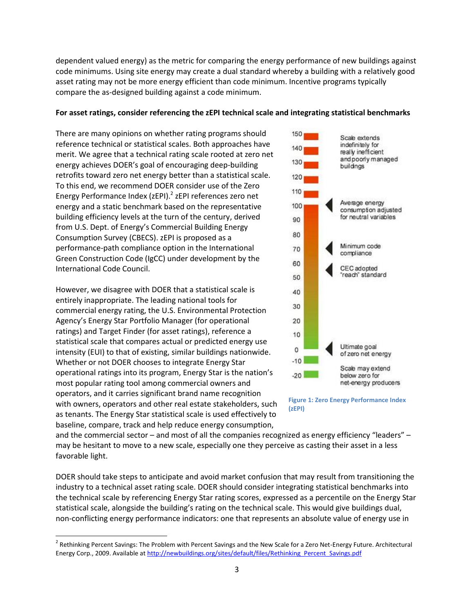dependent valued energy) as the metric for comparing the energy performance of new buildings against code minimums. Using site energy may create a dual standard whereby a building with a relatively good asset rating may not be more energy efficient than code minimum. Incentive programs typically compare the as-designed building against a code minimum.

#### **For asset ratings, consider referencing the zEPI technical scale and integrating statistical benchmarks**

There are many opinions on whether rating programs should reference technical or statistical scales. Both approaches have merit. We agree that a technical rating scale rooted at zero net energy achieves DOER's goal of encouraging deep-building retrofits toward zero net energy better than a statistical scale. To this end, we recommend DOER consider use of the Zero Energy Performance Index (zEPI).<sup>2</sup> zEPI references zero net energy and a static benchmark based on the representative building efficiency levels at the turn of the century, derived from U.S. Dept. of Energy's Commercial Building Energy Consumption Survey (CBECS). zEPI is proposed as a performance-path compliance option in the International Green Construction Code (IgCC) under development by the International Code Council.

However, we disagree with DOER that a statistical scale is entirely inappropriate. The leading national tools for commercial energy rating, the U.S. Environmental Protection Agency's Energy Star Portfolio Manager (for operational ratings) and Target Finder (for asset ratings), reference a statistical scale that compares actual or predicted energy use intensity (EUI) to that of existing, similar buildings nationwide. Whether or not DOER chooses to integrate Energy Star operational ratings into its program, Energy Star is the nation's most popular rating tool among commercial owners and operators, and it carries significant brand name recognition with owners, operators and other real estate stakeholders, such as tenants. The Energy Star statistical scale is used effectively to baseline, compare, track and help reduce energy consumption,

 $\overline{\phantom{a}}$ 



**Figure 1: Zero Energy Performance Index (zEPI)**

and the commercial sector – and most of all the companies recognized as energy efficiency "leaders" – may be hesitant to move to a new scale, especially one they perceive as casting their asset in a less favorable light.

DOER should take steps to anticipate and avoid market confusion that may result from transitioning the industry to a technical asset rating scale. DOER should consider integrating statistical benchmarks into the technical scale by referencing Energy Star rating scores, expressed as a percentile on the Energy Star statistical scale, alongside the building's rating on the technical scale. This would give buildings dual, non-conflicting energy performance indicators: one that represents an absolute value of energy use in

<sup>&</sup>lt;sup>2</sup> Rethinking Percent Savings: The Problem with Percent Savings and the New Scale for a Zero Net-Energy Future. Architectural Energy Corp., 2009. Available a[t http://newbuildings.org/sites/default/files/Rethinking\\_Percent\\_Savings.pdf](http://newbuildings.org/sites/default/files/Rethinking_Percent_Savings.pdf)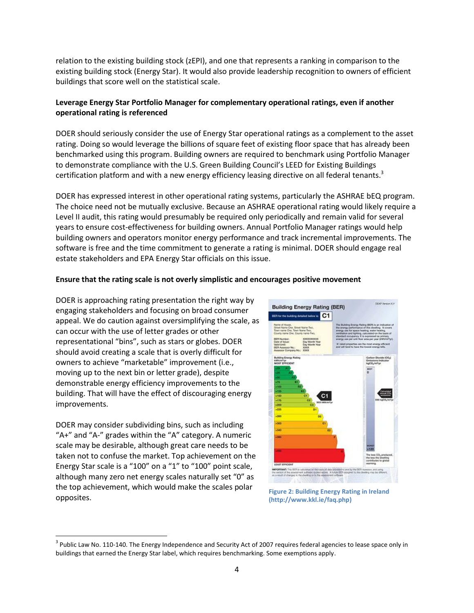relation to the existing building stock (zEPI), and one that represents a ranking in comparison to the existing building stock (Energy Star). It would also provide leadership recognition to owners of efficient buildings that score well on the statistical scale.

### **Leverage Energy Star Portfolio Manager for complementary operational ratings, even if another operational rating is referenced**

DOER should seriously consider the use of Energy Star operational ratings as a complement to the asset rating. Doing so would leverage the billions of square feet of existing floor space that has already been benchmarked using this program. Building owners are required to benchmark using Portfolio Manager to demonstrate compliance with the U.S. Green Building Council's LEED for Existing Buildings certification platform and with a new energy efficiency leasing directive on all federal tenants.<sup>3</sup>

DOER has expressed interest in other operational rating systems, particularly the ASHRAE bEQ program. The choice need not be mutually exclusive. Because an ASHRAE operational rating would likely require a Level II audit, this rating would presumably be required only periodically and remain valid for several years to ensure cost-effectiveness for building owners. Annual Portfolio Manager ratings would help building owners and operators monitor energy performance and track incremental improvements. The software is free and the time commitment to generate a rating is minimal. DOER should engage real estate stakeholders and EPA Energy Star officials on this issue.

#### **Ensure that the rating scale is not overly simplistic and encourages positive movement**

DOER is approaching rating presentation the right way by engaging stakeholders and focusing on broad consumer appeal. We do caution against oversimplifying the scale, as can occur with the use of letter grades or other representational "bins", such as stars or globes. DOER should avoid creating a scale that is overly difficult for owners to achieve "marketable" improvement (i.e., moving up to the next bin or letter grade), despite demonstrable energy efficiency improvements to the building. That will have the effect of discouraging energy improvements.

DOER may consider subdividing bins, such as including "A+" and "A-" grades within the "A" category. A numeric scale may be desirable, although great care needs to be taken not to confuse the market. Top achievement on the Energy Star scale is a "100" on a "1" to "100" point scale, although many zero net energy scales naturally set "0" as the top achievement, which would make the scales polar opposites.

 $\overline{\phantom{a}}$ 



**Figure 2: Building Energy Rating in Ireland (http://www.kkl.ie/faq.php)**

 $^3$  Public Law No. 110-140. The Energy Independence and Security Act of 2007 requires federal agencies to lease space only in buildings that earned the Energy Star label, which requires benchmarking. Some exemptions apply.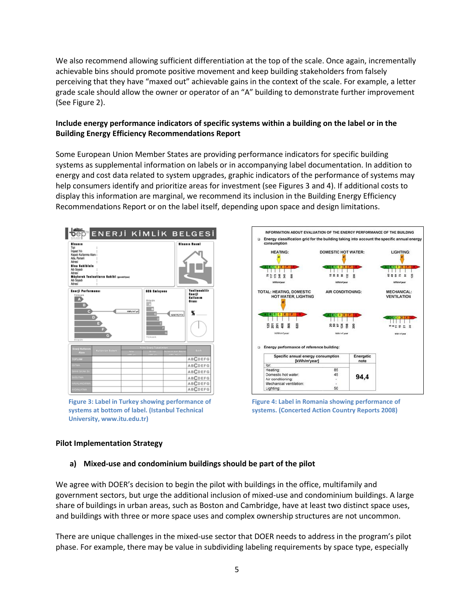We also recommend allowing sufficient differentiation at the top of the scale. Once again, incrementally achievable bins should promote positive movement and keep building stakeholders from falsely perceiving that they have "maxed out" achievable gains in the context of the scale. For example, a letter grade scale should allow the owner or operator of an "A" building to demonstrate further improvement (See Figure 2).

#### **Include energy performance indicators of specific systems within a building on the label or in the Building Energy Efficiency Recommendations Report**

Some European Union Member States are providing performance indicators for specific building systems as supplemental information on labels or in accompanying label documentation. In addition to energy and cost data related to system upgrades, graphic indicators of the performance of systems may help consumers identify and prioritize areas for investment (see Figures 3 and 4). If additional costs to display this information are marginal, we recommend its inclusion in the Building Energy Efficiency Recommendations Report or on the label itself, depending upon space and design limitations.



**Figure 3: Label in Turkey showing performance of systems at bottom of label. (Istanbul Technical University, www.itu.edu.tr)**



**Figure 4: Label in Romania showing performance of systems. (Concerted Action Country Reports 2008)**

#### **Pilot Implementation Strategy**

#### **a) Mixed-use and condominium buildings should be part of the pilot**

We agree with DOER's decision to begin the pilot with buildings in the office, multifamily and government sectors, but urge the additional inclusion of mixed-use and condominium buildings. A large share of buildings in urban areas, such as Boston and Cambridge, have at least two distinct space uses, and buildings with three or more space uses and complex ownership structures are not uncommon.

There are unique challenges in the mixed-use sector that DOER needs to address in the program's pilot phase. For example, there may be value in subdividing labeling requirements by space type, especially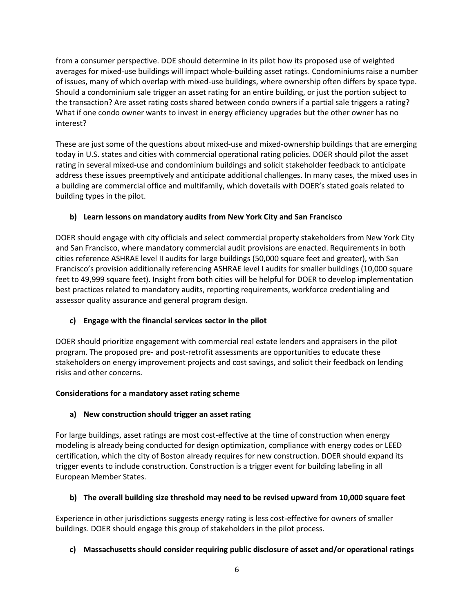from a consumer perspective. DOE should determine in its pilot how its proposed use of weighted averages for mixed-use buildings will impact whole-building asset ratings. Condominiums raise a number of issues, many of which overlap with mixed-use buildings, where ownership often differs by space type. Should a condominium sale trigger an asset rating for an entire building, or just the portion subject to the transaction? Are asset rating costs shared between condo owners if a partial sale triggers a rating? What if one condo owner wants to invest in energy efficiency upgrades but the other owner has no interest?

These are just some of the questions about mixed-use and mixed-ownership buildings that are emerging today in U.S. states and cities with commercial operational rating policies. DOER should pilot the asset rating in several mixed-use and condominium buildings and solicit stakeholder feedback to anticipate address these issues preemptively and anticipate additional challenges. In many cases, the mixed uses in a building are commercial office and multifamily, which dovetails with DOER's stated goals related to building types in the pilot.

## **b) Learn lessons on mandatory audits from New York City and San Francisco**

DOER should engage with city officials and select commercial property stakeholders from New York City and San Francisco, where mandatory commercial audit provisions are enacted. Requirements in both cities reference ASHRAE level II audits for large buildings (50,000 square feet and greater), with San Francisco's provision additionally referencing ASHRAE level I audits for smaller buildings (10,000 square feet to 49,999 square feet). Insight from both cities will be helpful for DOER to develop implementation best practices related to mandatory audits, reporting requirements, workforce credentialing and assessor quality assurance and general program design.

## **c) Engage with the financial services sector in the pilot**

DOER should prioritize engagement with commercial real estate lenders and appraisers in the pilot program. The proposed pre- and post-retrofit assessments are opportunities to educate these stakeholders on energy improvement projects and cost savings, and solicit their feedback on lending risks and other concerns.

## **Considerations for a mandatory asset rating scheme**

## **a) New construction should trigger an asset rating**

For large buildings, asset ratings are most cost-effective at the time of construction when energy modeling is already being conducted for design optimization, compliance with energy codes or LEED certification, which the city of Boston already requires for new construction. DOER should expand its trigger events to include construction. Construction is a trigger event for building labeling in all European Member States.

## **b) The overall building size threshold may need to be revised upward from 10,000 square feet**

Experience in other jurisdictions suggests energy rating is less cost-effective for owners of smaller buildings. DOER should engage this group of stakeholders in the pilot process.

## **c) Massachusetts should consider requiring public disclosure of asset and/or operational ratings**